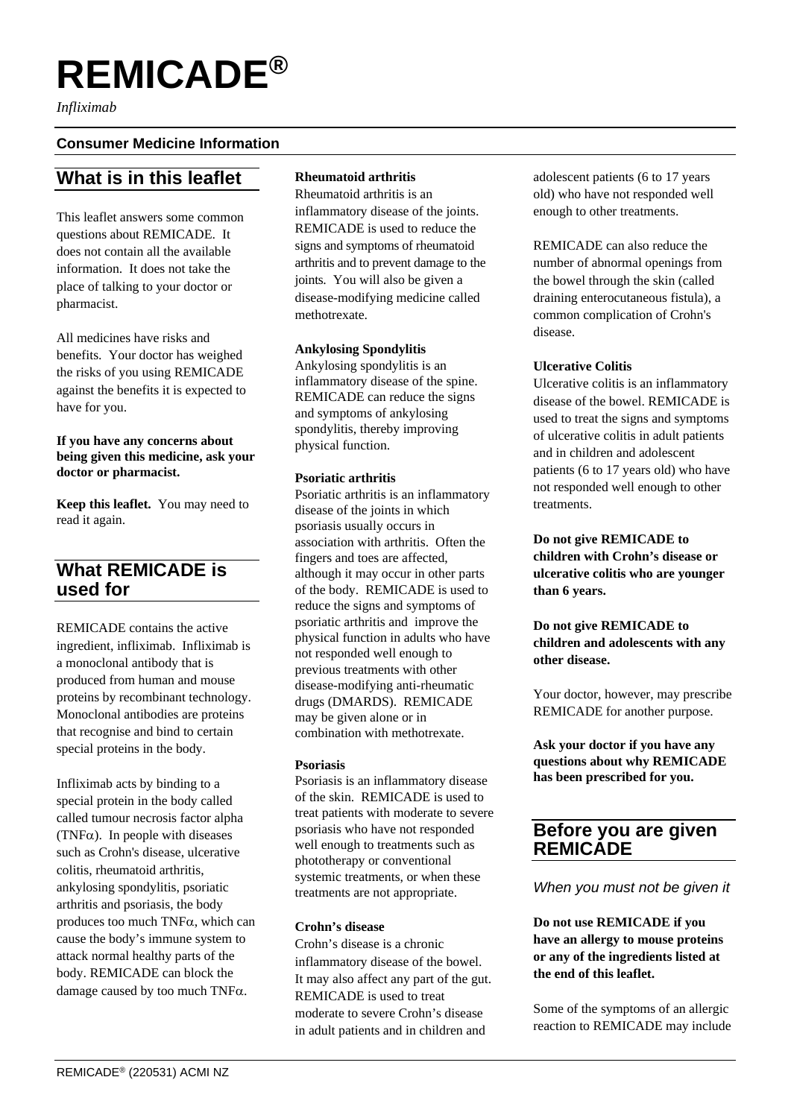# **REMICADE®**

*Infliximab*

#### **Consumer Medicine Information**

# **What is in this leaflet**

This leaflet answers some common questions about REMICADE. It does not contain all the available information. It does not take the place of talking to your doctor or pharmacist.

All medicines have risks and benefits. Your doctor has weighed the risks of you using REMICADE against the benefits it is expected to have for you.

#### **If you have any concerns about being given this medicine, ask your doctor or pharmacist.**

**Keep this leaflet.** You may need to read it again.

# **What REMICADE is used for**

REMICADE contains the active ingredient, infliximab. Infliximab is a monoclonal antibody that is produced from human and mouse proteins by recombinant technology. Monoclonal antibodies are proteins that recognise and bind to certain special proteins in the body.

Infliximab acts by binding to a special protein in the body called called tumour necrosis factor alpha (TNF $\alpha$ ). In people with diseases such as Crohn's disease, ulcerative colitis, rheumatoid arthritis, ankylosing spondylitis, psoriatic arthritis and psoriasis, the body produces too much TNFα, which can cause the body's immune system to attack normal healthy parts of the body. REMICADE can block the damage caused by too much TNF $\alpha$ .

#### **Rheumatoid arthritis**

Rheumatoid arthritis is an inflammatory disease of the joints. REMICADE is used to reduce the signs and symptoms of rheumatoid arthritis and to prevent damage to the joints. You will also be given a disease-modifying medicine called methotrexate.

#### **Ankylosing Spondylitis**

Ankylosing spondylitis is an inflammatory disease of the spine. REMICADE can reduce the signs and symptoms of ankylosing spondylitis, thereby improving physical function.

#### **Psoriatic arthritis**

Psoriatic arthritis is an inflammatory disease of the joints in which psoriasis usually occurs in association with arthritis. Often the fingers and toes are affected, although it may occur in other parts of the body. REMICADE is used to reduce the signs and symptoms of psoriatic arthritis and improve the physical function in adults who have not responded well enough to previous treatments with other disease-modifying anti-rheumatic drugs (DMARDS). REMICADE may be given alone or in combination with methotrexate.

#### **Psoriasis**

Psoriasis is an inflammatory disease of the skin. REMICADE is used to treat patients with moderate to severe psoriasis who have not responded well enough to treatments such as phototherapy or conventional systemic treatments, or when these treatments are not appropriate.

#### **Crohn's disease**

Crohn's disease is a chronic inflammatory disease of the bowel. It may also affect any part of the gut. REMICADE is used to treat moderate to severe Crohn's disease in adult patients and in children and

adolescent patients (6 to 17 years old) who have not responded well enough to other treatments.

REMICADE can also reduce the number of abnormal openings from the bowel through the skin (called draining enterocutaneous fistula), a common complication of Crohn's disease.

#### **Ulcerative Colitis**

Ulcerative colitis is an inflammatory disease of the bowel. REMICADE is used to treat the signs and symptoms of ulcerative colitis in adult patients and in children and adolescent patients (6 to 17 years old) who have not responded well enough to other treatments.

**Do not give REMICADE to children with Crohn's disease or ulcerative colitis who are younger than 6 years.**

**Do not give REMICADE to children and adolescents with any other disease.**

Your doctor, however, may prescribe REMICADE for another purpose.

**Ask your doctor if you have any questions about why REMICADE has been prescribed for you.**

## **Before you are given REMICADE**

*When you must not be given it*

**Do not use REMICADE if you have an allergy to mouse proteins or any of the ingredients listed at the end of this leaflet.**

Some of the symptoms of an allergic reaction to REMICADE may include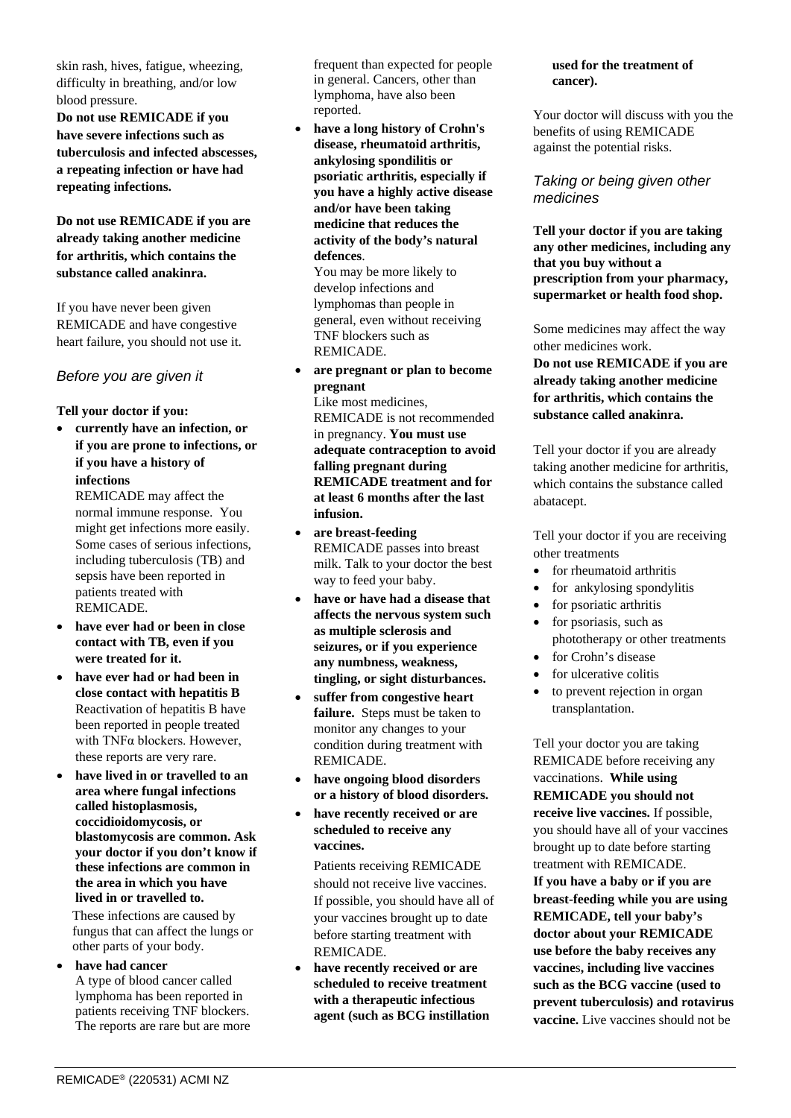skin rash, hives, fatigue, wheezing, difficulty in breathing, and/or low blood pressure.

**Do not use REMICADE if you have severe infections such as tuberculosis and infected abscesses, a repeating infection or have had repeating infections.**

**Do not use REMICADE if you are already taking another medicine for arthritis, which contains the substance called anakinra.**

If you have never been given REMICADE and have congestive heart failure, you should not use it.

#### *Before you are given it*

#### **Tell your doctor if you:**

• **currently have an infection, or if you are prone to infections, or if you have a history of infections** 

REMICADE may affect the normal immune response. You might get infections more easily. Some cases of serious infections, including tuberculosis (TB) and sepsis have been reported in patients treated with REMICADE.

- **have ever had or been in close contact with TB, even if you were treated for it.**
- **have ever had or had been in close contact with hepatitis B** Reactivation of hepatitis B have been reported in people treated with TNFα blockers. However, these reports are very rare.
- **have lived in or travelled to an area where fungal infections called histoplasmosis, coccidioidomycosis, or blastomycosis are common. Ask your doctor if you don't know if these infections are common in the area in which you have lived in or travelled to.**

These infections are caused by fungus that can affect the lungs or other parts of your body.

#### have had cancer

A type of blood cancer called lymphoma has been reported in patients receiving TNF blockers. The reports are rare but are more

frequent than expected for people in general. Cancers, other than lymphoma, have also been reported.

• **have a long history of Crohn's disease, rheumatoid arthritis, ankylosing spondilitis or psoriatic arthritis, especially if you have a highly active disease and/or have been taking medicine that reduces the activity of the body's natural defences**.

You may be more likely to develop infections and lymphomas than people in general, even without receiving TNF blockers such as REMICADE.

- **are pregnant or plan to become pregnant** Like most medicines, REMICADE is not recommended in pregnancy. **You must use adequate contraception to avoid falling pregnant during REMICADE treatment and for at least 6 months after the last infusion.**
- **are breast-feeding** REMICADE passes into breast milk. Talk to your doctor the best way to feed your baby.
- **have or have had a disease that affects the nervous system such as multiple sclerosis and seizures, or if you experience any numbness, weakness, tingling, or sight disturbances.**
- **suffer from congestive heart failure.** Steps must be taken to monitor any changes to your condition during treatment with REMICADE.
- **have ongoing blood disorders or a history of blood disorders.**
- **have recently received or are scheduled to receive any vaccines.**

Patients receiving REMICADE should not receive live vaccines. If possible, you should have all of your vaccines brought up to date before starting treatment with REMICADE.

• **have recently received or are scheduled to receive treatment with a therapeutic infectious agent (such as BCG instillation** 

#### **used for the treatment of cancer).**

Your doctor will discuss with you the benefits of using REMICADE against the potential risks.

#### *Taking or being given other medicines*

**Tell your doctor if you are taking any other medicines, including any that you buy without a prescription from your pharmacy, supermarket or health food shop.**

Some medicines may affect the way other medicines work.

**Do not use REMICADE if you are already taking another medicine for arthritis, which contains the substance called anakinra.**

Tell your doctor if you are already taking another medicine for arthritis, which contains the substance called abatacept.

Tell your doctor if you are receiving other treatments

- for rheumatoid arthritis
- for ankylosing spondylitis
- for psoriatic arthritis
- for psoriasis, such as phototherapy or other treatments
- for Crohn's disease
- for ulcerative colitis
- to prevent rejection in organ transplantation.

Tell your doctor you are taking REMICADE before receiving any vaccinations. **While using REMICADE you should not receive live vaccines.** If possible, you should have all of your vaccines brought up to date before starting treatment with REMICADE. **If you have a baby or if you are breast-feeding while you are using REMICADE, tell your baby's doctor about your REMICADE use before the baby receives any vaccine**s**, including live vaccines such as the BCG vaccine (used to prevent tuberculosis) and rotavirus vaccine.** Live vaccines should not be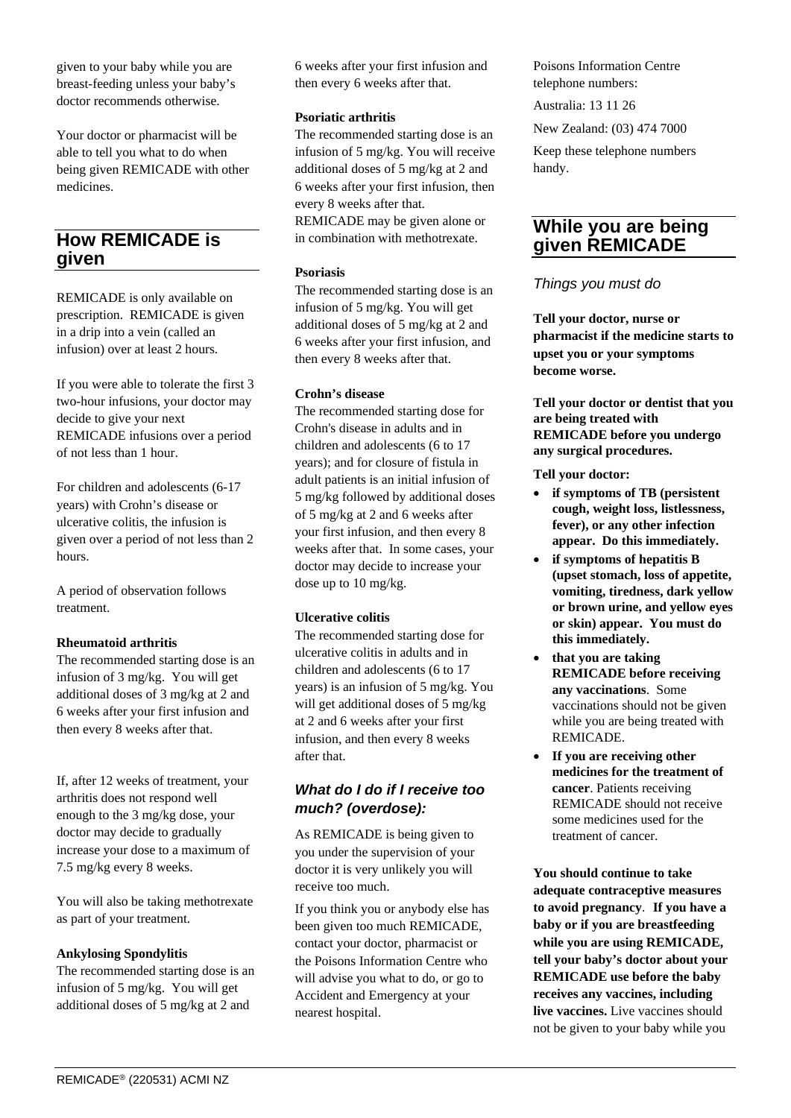given to your baby while you are breast-feeding unless your baby's doctor recommends otherwise.

Your doctor or pharmacist will be able to tell you what to do when being given REMICADE with other medicines.

## **How REMICADE is given**

REMICADE is only available on prescription. REMICADE is given in a drip into a vein (called an infusion) over at least 2 hours.

If you were able to tolerate the first 3 two-hour infusions, your doctor may decide to give your next REMICADE infusions over a period of not less than 1 hour.

For children and adolescents (6-17 years) with Crohn's disease or ulcerative colitis, the infusion is given over a period of not less than 2 hours.

A period of observation follows treatment.

#### **Rheumatoid arthritis**

The recommended starting dose is an infusion of 3 mg/kg. You will get additional doses of 3 mg/kg at 2 and 6 weeks after your first infusion and then every 8 weeks after that.

If, after 12 weeks of treatment, your arthritis does not respond well enough to the 3 mg/kg dose, your doctor may decide to gradually increase your dose to a maximum of 7.5 mg/kg every 8 weeks.

You will also be taking methotrexate as part of your treatment.

#### **Ankylosing Spondylitis**

The recommended starting dose is an infusion of 5 mg/kg. You will get additional doses of 5 mg/kg at 2 and

6 weeks after your first infusion and then every 6 weeks after that.

#### **Psoriatic arthritis**

The recommended starting dose is an infusion of 5 mg/kg. You will receive additional doses of 5 mg/kg at 2 and 6 weeks after your first infusion, then every 8 weeks after that. REMICADE may be given alone or in combination with methotrexate.

#### **Psoriasis**

The recommended starting dose is an infusion of 5 mg/kg. You will get additional doses of 5 mg/kg at 2 and 6 weeks after your first infusion, and then every 8 weeks after that.

#### **Crohn's disease**

The recommended starting dose for Crohn's disease in adults and in children and adolescents (6 to 17 years); and for closure of fistula in adult patients is an initial infusion of 5 mg/kg followed by additional doses of 5 mg/kg at 2 and 6 weeks after your first infusion, and then every 8 weeks after that. In some cases, your doctor may decide to increase your dose up to 10 mg/kg.

#### **Ulcerative colitis**

The recommended starting dose for ulcerative colitis in adults and in children and adolescents (6 to 17 years) is an infusion of 5 mg/kg. You will get additional doses of 5 mg/kg at 2 and 6 weeks after your first infusion, and then every 8 weeks after that.

#### *What do I do if I receive too much? (overdose):*

As REMICADE is being given to you under the supervision of your doctor it is very unlikely you will receive too much.

If you think you or anybody else has been given too much REMICADE, contact your doctor, pharmacist or the Poisons Information Centre who will advise you what to do, or go to Accident and Emergency at your nearest hospital.

Poisons Information Centre telephone numbers:

Australia: 13 11 26

New Zealand: (03) 474 7000

Keep these telephone numbers handy.

## **While you are being given REMICADE**

#### *Things you must do*

**Tell your doctor, nurse or pharmacist if the medicine starts to upset you or your symptoms become worse.**

**Tell your doctor or dentist that you are being treated with REMICADE before you undergo any surgical procedures.**

**Tell your doctor:**

- **if symptoms of TB (persistent cough, weight loss, listlessness, fever), or any other infection appear. Do this immediately.**
- **if symptoms of hepatitis B (upset stomach, loss of appetite, vomiting, tiredness, dark yellow or brown urine, and yellow eyes or skin) appear. You must do this immediately.**
- **that you are taking REMICADE before receiving any vaccinations**.Some vaccinations should not be given while you are being treated with REMICADE.
- **If you are receiving other medicines for the treatment of cancer**. Patients receiving REMICADE should not receive some medicines used for the treatment of cancer.

**You should continue to take adequate contraceptive measures to avoid pregnancy**. **If you have a baby or if you are breastfeeding while you are using REMICADE, tell your baby's doctor about your REMICADE use before the baby receives any vaccines, including live vaccines.** Live vaccines should not be given to your baby while you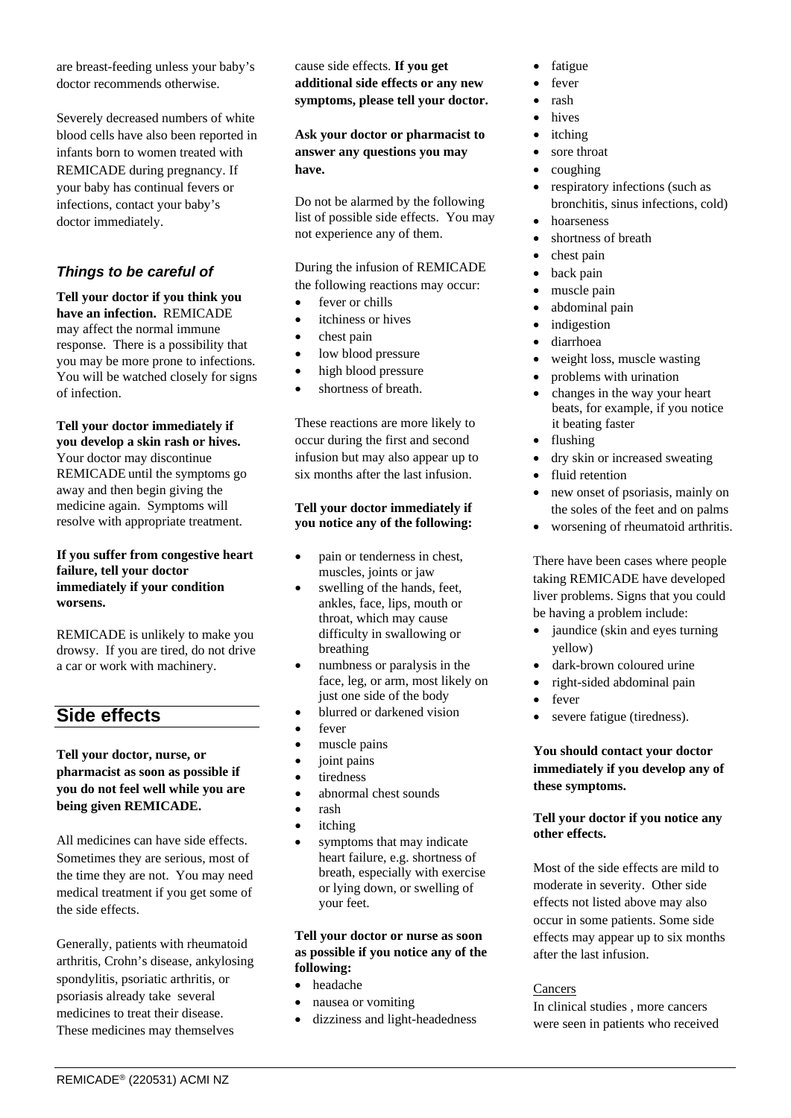are breast-feeding unless your baby's doctor recommends otherwise.

Severely decreased numbers of white blood cells have also been reported in infants born to women treated with REMICADE during pregnancy. If your baby has continual fevers or infections, contact your baby's doctor immediately.

### *Things to be careful of*

**Tell your doctor if you think you have an infection.** REMICADE may affect the normal immune response. There is a possibility that you may be more prone to infections. You will be watched closely for signs of infection.

#### **Tell your doctor immediately if you develop a skin rash or hives.**  Your doctor may discontinue

REMICADE until the symptoms go away and then begin giving the medicine again. Symptoms will resolve with appropriate treatment.

#### **If you suffer from congestive heart failure, tell your doctor immediately if your condition worsens.**

REMICADE is unlikely to make you drowsy. If you are tired, do not drive a car or work with machinery.

# **Side effects**

#### **Tell your doctor, nurse, or pharmacist as soon as possible if you do not feel well while you are being given REMICADE.**

All medicines can have side effects. Sometimes they are serious, most of the time they are not. You may need medical treatment if you get some of the side effects.

Generally, patients with rheumatoid arthritis, Crohn's disease, ankylosing spondylitis, psoriatic arthritis, or psoriasis already take several medicines to treat their disease. These medicines may themselves

#### cause side effects. **If you get additional side effects or any new symptoms, please tell your doctor.**

**Ask your doctor or pharmacist to answer any questions you may have.**

Do not be alarmed by the following list of possible side effects. You may not experience any of them.

During the infusion of REMICADE the following reactions may occur:

- fever or chills
- itchiness or hives
- chest pain
- low blood pressure
- high blood pressure
- shortness of breath.

These reactions are more likely to occur during the first and second infusion but may also appear up to six months after the last infusion.

#### **Tell your doctor immediately if you notice any of the following:**

- pain or tenderness in chest, muscles, joints or jaw
- swelling of the hands, feet, ankles, face, lips, mouth or throat, which may cause difficulty in swallowing or breathing
- numbness or paralysis in the face, leg, or arm, most likely on just one side of the body
- blurred or darkened vision
- fever
- muscle pains
- joint pains
- tiredness
- abnormal chest sounds
- rash
- itching
- symptoms that may indicate heart failure, e.g. shortness of breath, especially with exercise or lying down, or swelling of your feet.

#### **Tell your doctor or nurse as soon as possible if you notice any of the following:**

- headache
- nausea or vomiting
- dizziness and light-headedness
- fatigue
- fever
- rash
- hives
- *itching*
- sore throat
- coughing
- respiratory infections (such as bronchitis, sinus infections, cold)
- hoarseness
- shortness of breath
- chest pain
- back pain
- muscle pain
- abdominal pain
- *indigestion*
- diarrhoea
- weight loss, muscle wasting
- problems with urination
- changes in the way your heart beats, for example, if you notice it beating faster
- flushing
- dry skin or increased sweating
- fluid retention
- new onset of psoriasis, mainly on the soles of the feet and on palms
- worsening of rheumatoid arthritis.

There have been cases where people taking REMICADE have developed liver problems. Signs that you could be having a problem include:

- jaundice (skin and eyes turning) yellow)
- dark-brown coloured urine
- right-sided abdominal pain
- fever
- severe fatigue (tiredness).

#### **You should contact your doctor immediately if you develop any of these symptoms.**

#### **Tell your doctor if you notice any other effects.**

Most of the side effects are mild to moderate in severity. Other side effects not listed above may also occur in some patients. Some side effects may appear up to six months after the last infusion.

#### **Cancers**

In clinical studies , more cancers were seen in patients who received